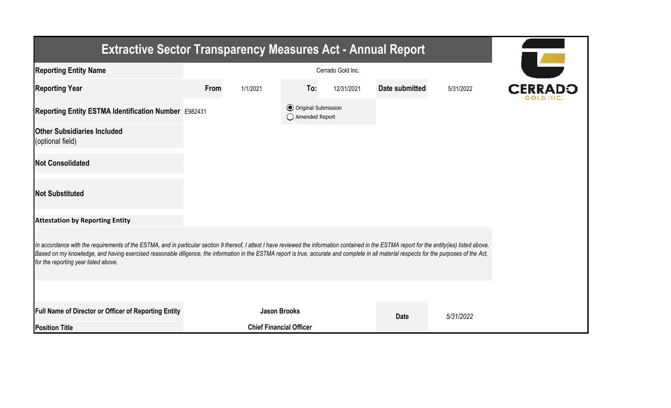| <b>Extractive Sector Transparency Measures Act - Annual Report</b>                                                                                                                                                                                                                                                                                                                                                                    |      |                                |                                                  |            |                |           |  |  |  |  |
|---------------------------------------------------------------------------------------------------------------------------------------------------------------------------------------------------------------------------------------------------------------------------------------------------------------------------------------------------------------------------------------------------------------------------------------|------|--------------------------------|--------------------------------------------------|------------|----------------|-----------|--|--|--|--|
| <b>Reporting Entity Name</b>                                                                                                                                                                                                                                                                                                                                                                                                          |      |                                |                                                  |            |                |           |  |  |  |  |
| <b>Reporting Year</b>                                                                                                                                                                                                                                                                                                                                                                                                                 | From | 1/1/2021                       | To:                                              | 12/31/2021 | Date submitted | 5/31/2022 |  |  |  |  |
| Reporting Entity ESTMA Identification Number E982431                                                                                                                                                                                                                                                                                                                                                                                  |      |                                | <b>⊙</b> Original Submission<br>◯ Amended Report |            |                |           |  |  |  |  |
| <b>Other Subsidiaries Included</b><br>(optional field)                                                                                                                                                                                                                                                                                                                                                                                |      |                                |                                                  |            |                |           |  |  |  |  |
| <b>Not Consolidated</b>                                                                                                                                                                                                                                                                                                                                                                                                               |      |                                |                                                  |            |                |           |  |  |  |  |
| <b>Not Substituted</b>                                                                                                                                                                                                                                                                                                                                                                                                                |      |                                |                                                  |            |                |           |  |  |  |  |
| <b>Attestation by Reporting Entity</b>                                                                                                                                                                                                                                                                                                                                                                                                |      |                                |                                                  |            |                |           |  |  |  |  |
| In accordance with the requirements of the ESTMA, and in particular section 9 thereof, I attest I have reviewed the information contained in the ESTMA report for the entity(ies) listed above.<br>Based on my knowledge, and having exercised reasonable diligence, the information in the ESTMA report is true, accurate and complete in all material respects for the purposes of the Act,<br>for the reporting year listed above. |      |                                |                                                  |            |                |           |  |  |  |  |
|                                                                                                                                                                                                                                                                                                                                                                                                                                       |      |                                |                                                  |            |                |           |  |  |  |  |
| <b>Full Name of Director or Officer of Reporting Entity</b>                                                                                                                                                                                                                                                                                                                                                                           |      | <b>Jason Brooks</b>            |                                                  |            | <b>Date</b>    | 5/31/2022 |  |  |  |  |
| <b>Position Title</b>                                                                                                                                                                                                                                                                                                                                                                                                                 |      | <b>Chief Financial Officer</b> |                                                  |            |                |           |  |  |  |  |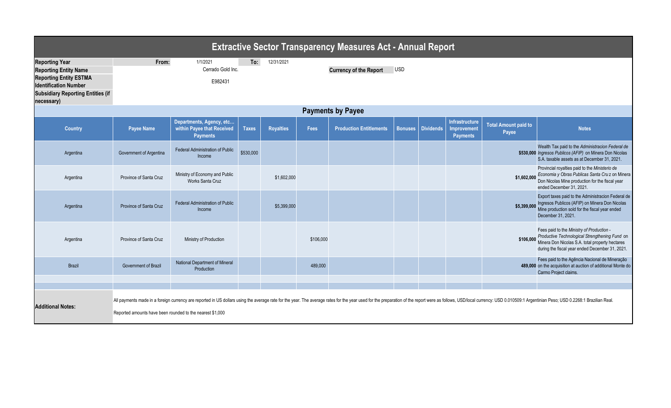| <b>Extractive Sector Transparency Measures Act - Annual Report</b>                                                                                                               |                                                                                                                                                                                                                                                                                             |                                                                           |              |                  |           |                                |                |                  |                                                         |                                      |                                                                                                                                                                                                                       |
|----------------------------------------------------------------------------------------------------------------------------------------------------------------------------------|---------------------------------------------------------------------------------------------------------------------------------------------------------------------------------------------------------------------------------------------------------------------------------------------|---------------------------------------------------------------------------|--------------|------------------|-----------|--------------------------------|----------------|------------------|---------------------------------------------------------|--------------------------------------|-----------------------------------------------------------------------------------------------------------------------------------------------------------------------------------------------------------------------|
| <b>Reporting Year</b><br><b>Reporting Entity Name</b><br><b>Reporting Entity ESTMA</b><br><b>Identification Number</b><br><b>Subsidiary Reporting Entities (if</b><br>necessary) | 1/1/2021<br>12/31/2021<br>From:<br>To:<br>Cerrado Gold Inc.<br><b>USD</b><br><b>Currency of the Report</b><br>E982431                                                                                                                                                                       |                                                                           |              |                  |           |                                |                |                  |                                                         |                                      |                                                                                                                                                                                                                       |
| <b>Payments by Payee</b>                                                                                                                                                         |                                                                                                                                                                                                                                                                                             |                                                                           |              |                  |           |                                |                |                  |                                                         |                                      |                                                                                                                                                                                                                       |
| <b>Country</b>                                                                                                                                                                   | <b>Payee Name</b>                                                                                                                                                                                                                                                                           | Departments, Agency, etc<br>within Payee that Received<br><b>Payments</b> | <b>Taxes</b> | <b>Royalties</b> | Fees      | <b>Production Entitlements</b> | <b>Bonuses</b> | <b>Dividends</b> | <b>Infrastructure</b><br>Improvement<br><b>Payments</b> | <b>Total Amount paid to</b><br>Payee | <b>Notes</b>                                                                                                                                                                                                          |
| Argentina                                                                                                                                                                        | Government of Argentina                                                                                                                                                                                                                                                                     | <b>Federal Administration of Public</b><br>Income                         | \$530,000    |                  |           |                                |                |                  |                                                         |                                      | Wealth Tax paid to the Administracion Federal de<br>\$530,000 Ingresos Publicos (AFIP) on Minera Don Nicolas<br>S.A. taxable assets as at December 31, 2021.                                                          |
| Argentina                                                                                                                                                                        | Province of Santa Cruz                                                                                                                                                                                                                                                                      | Ministry of Economy and Public<br>Works Santa Cruz                        |              | \$1,602,000      |           |                                |                |                  |                                                         | \$1,602,000                          | Provincial royalties paid to the Ministerio de<br>Economia y Obras Publicas Santa Cru z on Minera<br>Don Nicolas Mine production for the fiscal year<br>ended December 31, 2021.                                      |
| Argentina                                                                                                                                                                        | Province of Santa Cruz                                                                                                                                                                                                                                                                      | <b>Federal Administration of Public</b><br>Income                         |              | \$5,399,000      |           |                                |                |                  |                                                         |                                      | Export taxes paid to the Administracion Federal de<br>\$5,399,000 Ingresos Publicos (AFIP) on Minera Don Nicolas<br>Mine production sold for the fiscal year ended<br>December 31, 2021.                              |
| Argentina                                                                                                                                                                        | Province of Santa Cruz                                                                                                                                                                                                                                                                      | Ministry of Production                                                    |              |                  | \$106,000 |                                |                |                  |                                                         |                                      | Fees paid to the Ministry of Production -<br>\$106,000 Productive Technological Strengthening Fund on<br>\$106,000 Minera Don Nicolas S.A. total property hectares<br>during the fiscal year ended December 31, 2021. |
| <b>Brazil</b>                                                                                                                                                                    | <b>Government of Brazil</b>                                                                                                                                                                                                                                                                 | National Department of Mineral<br>Production                              |              |                  | 489,000   |                                |                |                  |                                                         |                                      | Fees paid to the Agência Nacional de Mineração<br>489,000 on the acquisition at auction of additional Monte do<br>Carmo Project claims.                                                                               |
|                                                                                                                                                                                  |                                                                                                                                                                                                                                                                                             |                                                                           |              |                  |           |                                |                |                  |                                                         |                                      |                                                                                                                                                                                                                       |
| <b>Additional Notes:</b>                                                                                                                                                         | All payments made in a foreign currency are reported in US dollars using the average rate for the year. The average rates for the year used for the year used for the preparation of the report were as follows, USD0.0al curr<br>Reported amounts have been rounded to the nearest \$1,000 |                                                                           |              |                  |           |                                |                |                  |                                                         |                                      |                                                                                                                                                                                                                       |